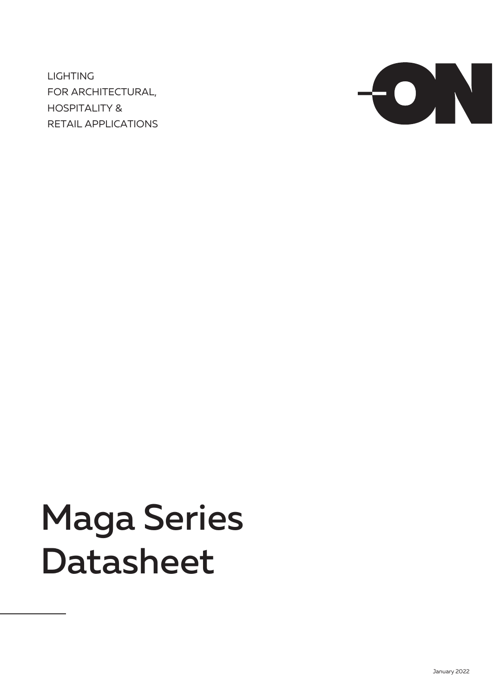LIGHTING FOR ARCHITECTURAL, HOSPITALITY & RETAIL APPLICATIONS



# Maga Series Datasheet

January 2022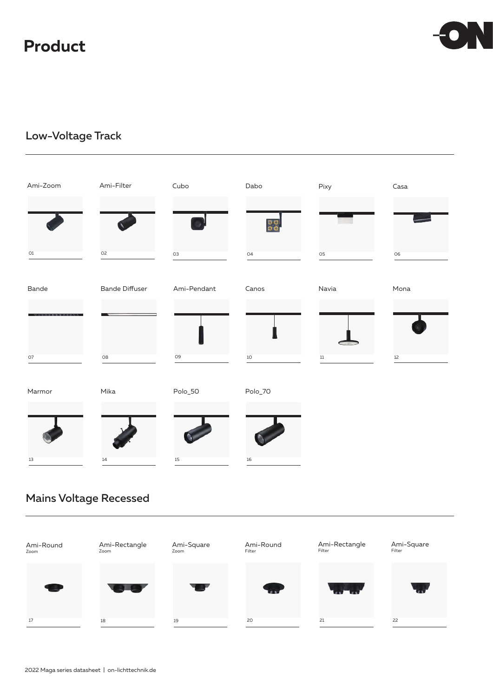### **Product**



### Low-Voltage Track

| Ami-Zoom                                                | Ami-Filter            | Cubo           | Dabo            | Pixy   | $\sf Casa$ |
|---------------------------------------------------------|-----------------------|----------------|-----------------|--------|------------|
|                                                         |                       |                | $\frac{50}{50}$ |        |            |
| O1                                                      | O <sub>2</sub>        | O <sub>3</sub> | 04              | 05     | 06         |
| Bande                                                   | <b>Bande Diffuser</b> | Ami-Pendant    | Canos           | Navia  | Mona       |
| <b><i><u>STATISTICS OF THE CASE OF THE CASE</u></i></b> |                       |                |                 |        |            |
| 07                                                      | O8                    | 09             | $10$            | $11\,$ | 12         |
| Marmor                                                  | Mika                  | Polo_50        | Polo_70         |        |            |
|                                                         |                       |                |                 |        |            |
| 13                                                      | 14                    | $15\,$         | 16              |        |            |

### Mains Voltage Recessed

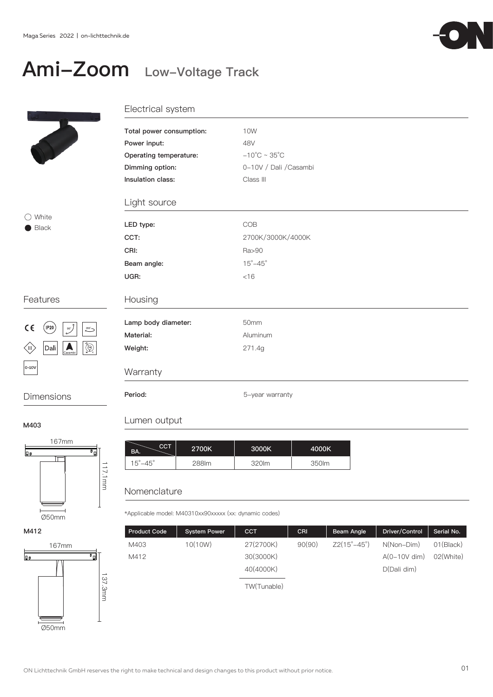### Ami-Zoom Low-Voltage Track



### Electrical system

| Total power consumption: | 10W                               |  |  |  |
|--------------------------|-----------------------------------|--|--|--|
| Power input:             | 48V                               |  |  |  |
| Operating temperature:   | $-10^{\circ}$ C ~ 35 $^{\circ}$ C |  |  |  |
| Dimming option:          | 0-10V / Dali / Casambi            |  |  |  |
| Insulation class:        | Class III                         |  |  |  |
| Light source             |                                   |  |  |  |
| LED type:                | COB                               |  |  |  |
| CCT:                     | 2700K/3000K/4000K                 |  |  |  |
| CRI:                     | Ra>90                             |  |  |  |
| Beam angle:              | $15^{\circ} - 45^{\circ}$         |  |  |  |
| UGR:                     | $<$ 16                            |  |  |  |
| Housing                  |                                   |  |  |  |
| Lamp body diameter:      | 50mm                              |  |  |  |
| Material:                | Aluminum                          |  |  |  |
| Weight:                  | 271.4g                            |  |  |  |
| Warranty                 |                                   |  |  |  |

Dimensions Period: Period: 5-year warranty

○ White Black

Features

 $(\mathsf{IP20})$ 

Dali

 $C \in$ 

 $\left\langle \mathbb{I}\right\rangle$ 

 $0 - 10V$ 

**90° 355°**

#### M403

M412



167mm

 $\overline{BA.}$  CCT 2700K 3000K 288lm 320lm 15°-45°  $\vert$  288lm  $\vert$  320lm  $\vert$  350lm

### Nomenclature

Lumen output

\*Applicable model: M40310xx90xxxxx (xx: dynamic codes)

| <b>Product Code</b> | <b>System Power</b> | <b>CCT</b>  | <b>CRI</b> | Beam Angle                  | Driver/Control | Serial No.          |
|---------------------|---------------------|-------------|------------|-----------------------------|----------------|---------------------|
| M403                | 10(10W)             | 27(2700K)   | 90(90)     | $Z2(15^{\circ}-45^{\circ})$ | $N(Non-Dim)$   | 01(B <sub>l</sub> ) |
| M412                |                     | 30(3000K)   |            |                             | $A(0-10V$ dim) | 02(White)           |
|                     |                     | 40(4000K)   |            |                             | D(Dali dim)    |                     |
|                     |                     | TW(Tunable) |            |                             |                |                     |

4000K

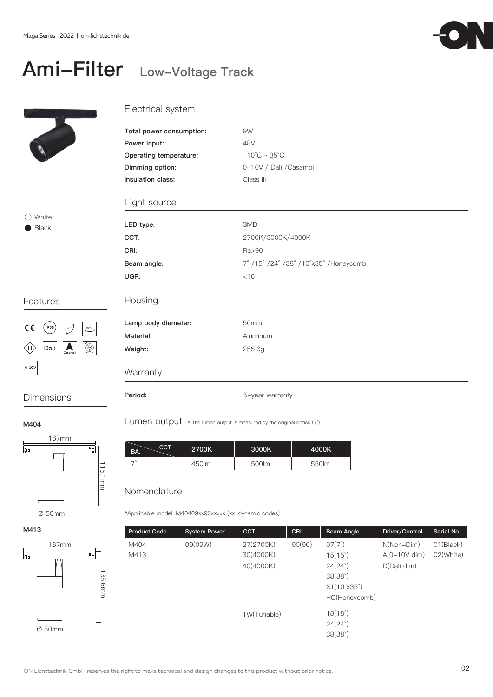### Ami-Filter Low-Voltage Track

9W 48V

 $-10^{\circ}$ C ~ 35 $^{\circ}$ C

Class III

SMD

Ra>90

 $<$ 16

0-10V / Dali /Casambi

2700K/3000K/4000K

7° /15° /24° /38° /10°x35° /Honeycomb

Electrical system

Total power consumption:

Operating temperature: Dimming option: Insulation class:

Light source

LED type: CCT: CRI:

Beam angle:

UGR:

Power input:



### ◯ White Black

### Features



### Housing Lamp body diameter: Material: Weight: 50mm Aluminum 255.6g **Warranty** Dimensions Period: 5-year warranty

M404





| Lumen output $*$ The lumen output is measured by the original optics (7°). |  |  |  |  |  |  |  |  |  |  |
|----------------------------------------------------------------------------|--|--|--|--|--|--|--|--|--|--|
|----------------------------------------------------------------------------|--|--|--|--|--|--|--|--|--|--|

| CCT<br>BA. | 2700K | 3000K | 4000K |
|------------|-------|-------|-------|
|            | 450lm | 500lm | 550lm |

### Nomenclature

\*Applicable model: M40409xx90xxxxx (xx: dynamic codes)

| <b>Product Code</b> | <b>System Power</b> | <b>CCT</b>  | CRI    | Beam Angle                  | Driver/Control | Serial No. |
|---------------------|---------------------|-------------|--------|-----------------------------|----------------|------------|
| M404                | 09(09W)             | 27(2700K)   | 90(90) | $07(7^{\circ})$             | $N(Non-Dim)$   | 01(Black)  |
| M413                |                     | 30(4000K)   |        | $15(15^{\circ})$            | $A(0-10V$ dim) | 02(White)  |
|                     |                     | 40(4000K)   |        | $24(24^{\circ})$            | D(Dali dim)    |            |
|                     |                     |             |        | 38(38°)                     |                |            |
|                     |                     |             |        | $X1(10^{\circ}x35^{\circ})$ |                |            |
|                     |                     |             |        | HC(Honeycomb)               |                |            |
|                     |                     | TW(Tunable) |        | 18(18°)                     |                |            |
|                     |                     |             |        | $24(24^{\circ})$            |                |            |
|                     |                     |             |        | 38(38°)                     |                |            |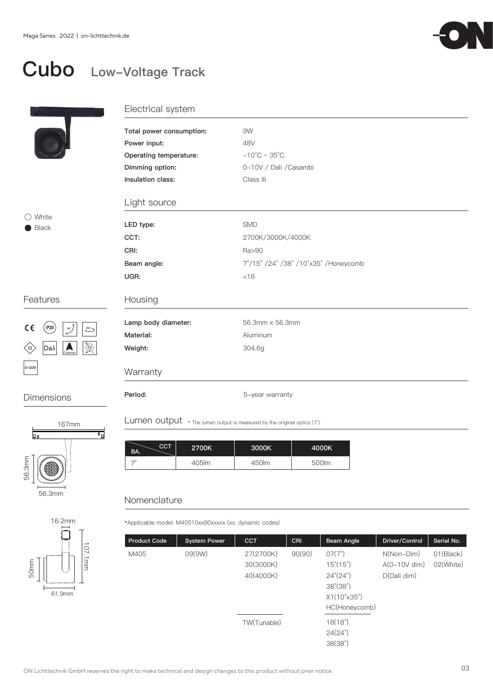

## Cubo Low-Voltage Track

|                                                                                 | Electrical system                                                        |                                   |  |
|---------------------------------------------------------------------------------|--------------------------------------------------------------------------|-----------------------------------|--|
|                                                                                 | Total power consumption:                                                 | 9W                                |  |
|                                                                                 | Power input:                                                             | 48V                               |  |
|                                                                                 | Operating temperature:                                                   | $-10^{\circ}$ C ~ 35 $^{\circ}$ C |  |
|                                                                                 | Dimming option:                                                          | 0-10V / Dali / Casambi            |  |
|                                                                                 | Insulation class:                                                        | Class III                         |  |
|                                                                                 | Light source                                                             |                                   |  |
| $\bigcirc$ White<br>Black                                                       | LED type:                                                                | <b>SMD</b>                        |  |
|                                                                                 | CCT:                                                                     | 2700K/3000K/4000K                 |  |
|                                                                                 | CRI:                                                                     | Ra>90                             |  |
|                                                                                 | Beam angle:                                                              | 7°/15°/24°/38°/10°x35°/Honeycomb  |  |
|                                                                                 | UGR:                                                                     | < 16                              |  |
| Features                                                                        | Housing                                                                  |                                   |  |
| $C \in$<br>(IP20<br>$90^{\circ}$                                                | Lamp body diameter:                                                      | 56.3mm x 56.3mm                   |  |
| $\overset{\text{355}^{\prime}}{\smile}$                                         | Material:                                                                | Aluminum                          |  |
| $\bigoplus_{\mathbf{v}}^{\mathbf{a}}$<br>Dali<br>$\sum_{\text{Casambi}}$<br>≤⊪, | Weight:                                                                  | 304.6g                            |  |
| $0-10V$                                                                         | Warranty                                                                 |                                   |  |
| Dimensions                                                                      | Period:                                                                  | 5-year warranty                   |  |
| 167mm                                                                           | Lumen output * The lumen output is measured by the original optics (7°). |                                   |  |





| CCT<br>BA. | 2700K | 3000K | 4000K |
|------------|-------|-------|-------|
| — c        | 405Im | 450lm | 500lm |

### Nomenclature

\*Applicable model: M40510xx90xxxxx (xx: dynamic codes)

| <b>Product Code</b> | <b>System Power</b> | <b>CCT</b>  | CRI    | Beam Angle                  | Driver/Control | Serial No. |
|---------------------|---------------------|-------------|--------|-----------------------------|----------------|------------|
| M405                | 09(9W)              | 27(2700K)   | 90(90) | $07(7^{\circ})$             | $N(Non-Dim)$   | 01(Black)  |
|                     |                     | 30(3000K)   |        | $15^{\circ}(15^{\circ})$    | $A(0-10V$ dim) | 02(White)  |
|                     |                     | 40(4000K)   |        | $24^{\circ}(24^{\circ})$    | D(Dali dim)    |            |
|                     |                     |             |        | $38^{\circ}(38^{\circ})$    |                |            |
|                     |                     |             |        | $X1(10^{\circ}x35^{\circ})$ |                |            |
|                     |                     |             |        | HC(Honeycomb)               |                |            |
|                     |                     | TW(Tunable) |        | $18(18^\circ)$              |                |            |
|                     |                     |             |        | $24(24^{\circ})$            |                |            |
|                     |                     |             |        | 38(38°)                     |                |            |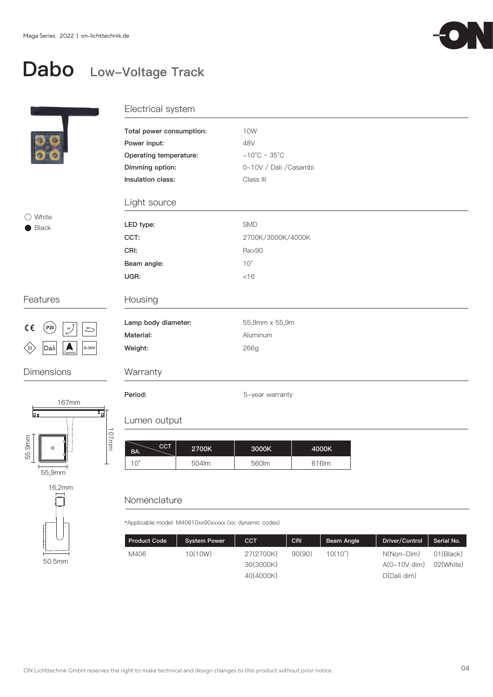

### Dabo Low-Voltage Track

|                                                     | Electrical system                                                                                          |                                                                                        |
|-----------------------------------------------------|------------------------------------------------------------------------------------------------------------|----------------------------------------------------------------------------------------|
|                                                     | Total power consumption:<br>Power input:<br>Operating temperature:<br>Dimming option:<br>Insulation class: | 10W<br>48V<br>$-10^{\circ}$ C ~ 35 $^{\circ}$ C<br>0-10V / Dali / Casambi<br>Class III |
|                                                     | Light source                                                                                               |                                                                                        |
| $\bigcirc$ White                                    |                                                                                                            | SMD                                                                                    |
| $\blacksquare$ Black                                | LED type:<br>CCT:                                                                                          | 2700K/3000K/4000K                                                                      |
|                                                     |                                                                                                            |                                                                                        |
|                                                     | CRI:                                                                                                       | Ra>90                                                                                  |
|                                                     | Beam angle:                                                                                                | $10^{\circ}$                                                                           |
|                                                     | UGR:                                                                                                       | $<$ 16                                                                                 |
| Features                                            | Housing                                                                                                    |                                                                                        |
| $\frac{1}{200}$<br>$($ IP20 $)$<br>$C \in$          | Lamp body diameter:                                                                                        | 55,9mm x 55,9m                                                                         |
| 355'                                                | Material:                                                                                                  | Aluminum                                                                               |
| $\sum_{\text{Casambi}}$<br>Dali<br>(III)<br>$0-10V$ | Weight:                                                                                                    | 266g                                                                                   |
| <b>Dimensions</b>                                   | Warranty                                                                                                   |                                                                                        |
| 167mm                                               | Period:                                                                                                    | 5-year warranty                                                                        |
| 可<br><u>lgo</u>                                     |                                                                                                            |                                                                                        |

### Lumen output

107mm

| CCT.<br>BA.  | 2700K | 3000K | 4000K |
|--------------|-------|-------|-------|
| $10^{\circ}$ | 504lm | 560lm | 616lm |

### Nomenclature

50.5mm

E

55,9mm

16,2mm

55.9mm

\*Applicable model: M40610xx90xxxxx (xx: dynamic codes)

| <b>Product Code</b> | <b>System Power</b> | <b>CCT</b>             | CRI    | Beam Angle       | Driver/Control               | Serial No.             |
|---------------------|---------------------|------------------------|--------|------------------|------------------------------|------------------------|
| M406                | 10(10W)             | 27(2700K)<br>30(3000K) | 90(90) | $10(10^{\circ})$ | N(Non-Dim)<br>$A(0-10V$ dim) | 01(Bback)<br>02(White) |
|                     |                     | 40(4000K)              |        |                  | D(Dali dim)                  |                        |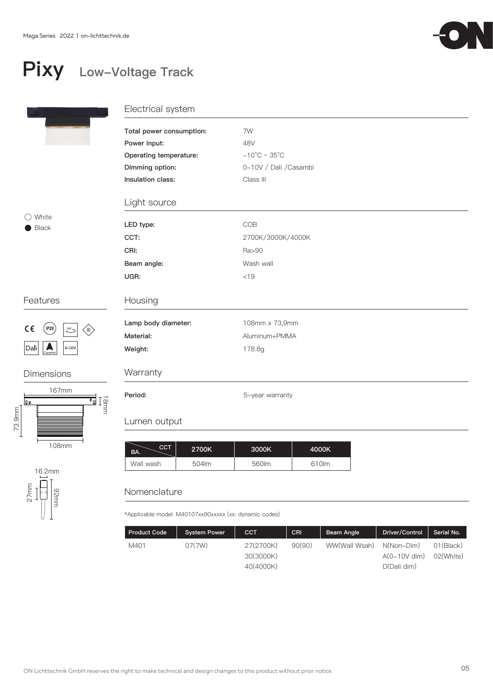

## Pixy Low-Voltage Track

|                                                        | Electrical system          |                                   |  |  |
|--------------------------------------------------------|----------------------------|-----------------------------------|--|--|
|                                                        | Total power consumption:   | 7W                                |  |  |
|                                                        | Power input:               | 48V                               |  |  |
|                                                        | Operating temperature:     | $-10^{\circ}$ C ~ 35 $^{\circ}$ C |  |  |
|                                                        | Dimming option:            | 0-10V / Dali / Casambi            |  |  |
|                                                        | Insulation class:          | Class III                         |  |  |
|                                                        | Light source               |                                   |  |  |
| White<br>Black                                         | LED type:                  | COB                               |  |  |
|                                                        | CCT:                       | 2700K/3000K/4000K                 |  |  |
|                                                        | CRI:                       | Ra>90                             |  |  |
|                                                        | Beam angle:                | Wash wall                         |  |  |
|                                                        | UGR:                       | < 19                              |  |  |
| Features                                               | Housing                    |                                   |  |  |
| $(\mathsf{IP20})$                                      | Lamp body diameter:        | 108mm x 73,9mm                    |  |  |
| $\epsilon$<br>(III)<br>$355 -$                         | Material:                  | Aluminum+PMMA                     |  |  |
| $\sum_{\text{Casambi}}$<br>Dali<br>$ 0 - 10V $         | Weight:                    | 178.8g                            |  |  |
| <b>Dimensions</b>                                      | Warranty                   |                                   |  |  |
| 167mm<br>ים<br>≦∐<br>$\overline{\phantom{a}}_0$<br>g o | Period:                    | 5-year warranty                   |  |  |
| 73.9mm                                                 | Lumen output               |                                   |  |  |
| 108mm                                                  | <b>CCT</b><br>2700K<br>BA. | 4000K<br>3000K                    |  |  |
| 16.2mm                                                 | 504lm<br>Wall wash         | 610lm<br>560lm                    |  |  |

### Nomenclature

27mm<br>|-<br>|-<br>|-<br>|-<br>|-<br>|-<br>|-<br>|-

\*Applicable model: M40107xx90xxxxx (xx: dynamic codes)

| <b>Product Code</b> | <b>System Power</b> | <b>CCT</b> | CRI <sup>'</sup> | Beam Angle    | Driver/Control | Serial No. |
|---------------------|---------------------|------------|------------------|---------------|----------------|------------|
| M401                | 07(7W)              | 27(2700K)  | 90(90)           | WW(Wall Wsah) | N(Non-Dim)     | 01(Black)  |
|                     |                     | 30(3000K)  |                  |               | $A(0-10V$ dim) | 02(White)  |
|                     |                     | 40(4000K)  |                  |               | D(Dali dim)    |            |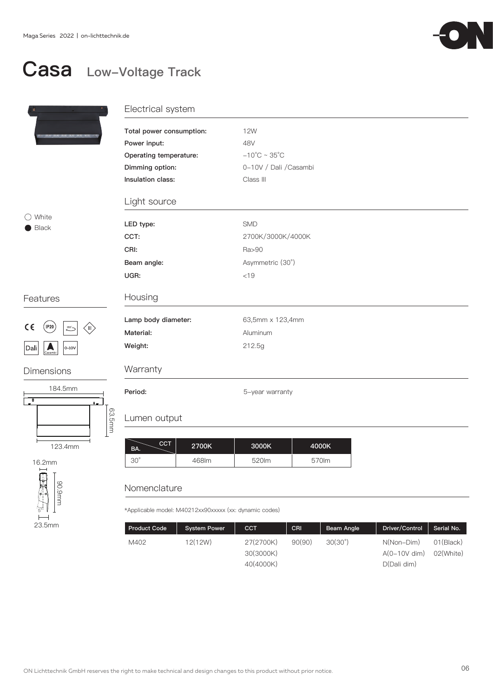123.4mm

90.9mm

23.5mm

5°

 $\overline{1}$ 

16.2mm



### Casa Low-Voltage Track

|                                         | Electrical system        |                                   |
|-----------------------------------------|--------------------------|-----------------------------------|
|                                         | Total power consumption: | <b>12W</b>                        |
|                                         | Power input:             | 48V                               |
|                                         | Operating temperature:   | $-10^{\circ}$ C ~ 35 $^{\circ}$ C |
|                                         | Dimming option:          | 0-10V / Dali / Casambi            |
|                                         | Insulation class:        | Class III                         |
|                                         | Light source             |                                   |
| $\bigcirc$ White<br>$\bullet$ Black     | LED type:                | SMD                               |
|                                         | CCT:                     | 2700K/3000K/4000K                 |
|                                         | CRI:                     | Ra>90                             |
|                                         | Beam angle:              | Asymmetric (30°)                  |
|                                         | UGR:                     | $< 19$                            |
| Features                                | Housing                  |                                   |
|                                         | Lamp body diameter:      | 63,5mm x 123,4mm                  |
| $C \in$<br>(IP20)<br>355<br>(III)       | Material:                | Aluminum                          |
| $ $ Dali $ $<br>$0-10V$<br>A<br>Casambi | Weight:                  | 212.5g                            |
| <b>Dimensions</b>                       | Warranty                 |                                   |
| 184.5mm<br>≖<br>$\mathbf{q}_{m}$        | Period:                  | 5-year warranty                   |
| 63.5mm                                  | Lumen output             |                                   |
|                                         |                          |                                   |

 $\left\lfloor \frac{\text{CCT}}{2700\text{K}} \right\rfloor$  3000K 468lm 520lm 4000K 30° 570lm BA.

### Nomenclature

\*Applicable model: M40212xx90xxxxx (xx: dynamic codes)

| <b>Product Code</b> | <b>System Power</b> | CCT       | <b>CRI</b> | Beam Angle       | Driver/Control | Serial No. |
|---------------------|---------------------|-----------|------------|------------------|----------------|------------|
| M402                | 12(12W)             | 27(2700K) | 90(90)     | $30(30^{\circ})$ | N(Non-Dim)     | 01(Black)  |
|                     |                     | 30(3000K) |            |                  | $A(0-10V$ dim) | 02(White)  |
|                     |                     | 40(4000K) |            |                  | D(Dali dim)    |            |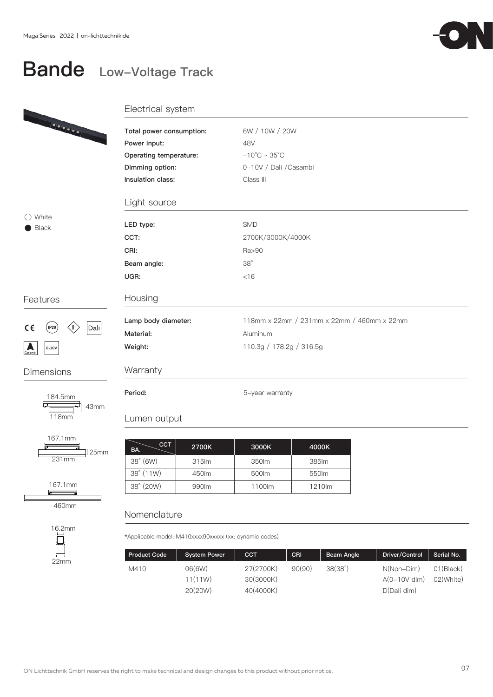## Bande Low-Voltage Track



# 199000

### Electrical system

| Total power consumption: | 6W / 10W / 20W                             |
|--------------------------|--------------------------------------------|
| Power input:             | 48V                                        |
| Operating temperature:   | $-10^{\circ}$ C ~ 35 $^{\circ}$ C          |
| Dimming option:          | 0-10V / Dali / Casambi                     |
| Insulation class:        | Class III                                  |
| Light source             |                                            |
| LED type:                | <b>SMD</b>                                 |
| CCT:                     | 2700K/3000K/4000K                          |
| CRI:                     | Ra>90                                      |
| Beam angle:              | $38^\circ$                                 |
| UGR:                     | $<$ 16                                     |
| Housing                  |                                            |
| Lamp body diameter:      | 118mm x 22mm / 231mm x 22mm / 460mm x 22mm |
| Material:                | Aluminum                                   |
| Weight:                  | 110.3g / 178.2g / 316.5g                   |
| Warranty                 |                                            |
|                          |                                            |

### Lumen output

| CCT<br>BA.         | 2700K  | 3000K  | 4000K  |
|--------------------|--------|--------|--------|
| $38^\circ$ (6W)    | 315lm  | 350lm  | 385 lm |
| $38^{\circ}$ (11W) | 450 lm | 500lm  | 550lm  |
| 38° (20W)          | 990 lm | 1100lm | 1210lm |

### Nomenclature

\*Applicable model: M410xxxx90xxxxx (xx: dynamic codes)

| <b>Product Code</b> | <b>System Power</b> | <b>CCT</b>             | CRI    | Beam Angle | Driver/Control               | Serial No.             |
|---------------------|---------------------|------------------------|--------|------------|------------------------------|------------------------|
| M410                | 06(6W)<br>11(11W)   | 27(2700K)<br>30(3000K) | 90(90) | 38(38°)    | N(Non-Dim)<br>$A(0-10V$ dim) | 01(Bback)<br>02(White) |
|                     | 20(20W)             | 40(4000K)              |        |            | D(Dali dim)                  |                        |

○ White Black

#### Features



118mm

Dimensions

뉸

L

184.5mm  $\overline{4}$ 

167.1mm 231mm  $\mathbb{I}$  25mm

167.1mm

460mm

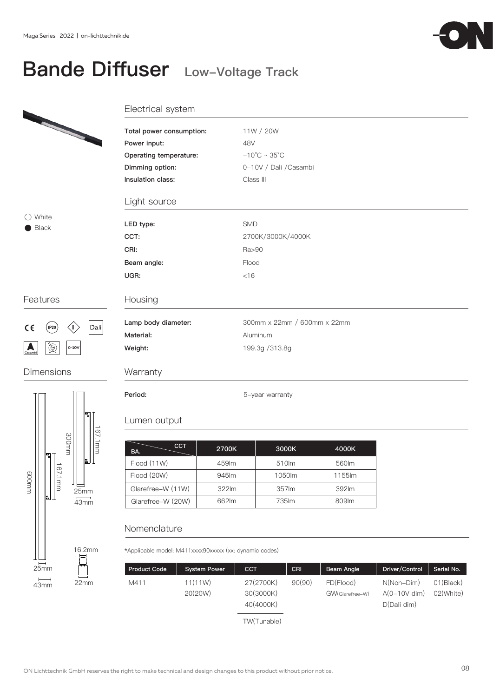## Bande Diffuser Low-Voltage Track

|                                                     | Electrical system                                                                     |                                                                                 |
|-----------------------------------------------------|---------------------------------------------------------------------------------------|---------------------------------------------------------------------------------|
|                                                     | Total power consumption:<br>Power input:<br>Operating temperature:<br>Dimming option: | 11W / 20W<br>48V<br>$-10^{\circ}$ C ~ 35 $^{\circ}$ C<br>0-10V / Dali / Casambi |
|                                                     | Insulation class:                                                                     | Class III                                                                       |
|                                                     | Light source                                                                          |                                                                                 |
| $\bigcirc$ White<br><b>Black</b>                    | LED type:                                                                             | <b>SMD</b>                                                                      |
|                                                     | CCT:                                                                                  | 2700K/3000K/4000K                                                               |
|                                                     | CRI:                                                                                  | Ra>90                                                                           |
|                                                     | Beam angle:                                                                           | Flood                                                                           |
|                                                     | UGR:                                                                                  | $<$ 16                                                                          |
| Features                                            | Housing                                                                               |                                                                                 |
| $ $ Dali $ $<br>$($ IP20<br>$\epsilon$<br>(III)     | Lamp body diameter:                                                                   | 300mm x 22mm / 600mm x 22mm                                                     |
|                                                     | Material:                                                                             | Aluminum                                                                        |
| $\bigoplus_{\kappa}^{\infty}$<br>$0-10V$<br>Casambi | Weight:                                                                               | 199.3g / 313.8g                                                                 |
| <b>Dimensions</b>                                   | Warranty                                                                              |                                                                                 |



22mm

 $\overline{43}$ mm

| Period:      |  |
|--------------|--|
| Lumen output |  |

| CCT<br>BA.        | 2700K | 3000K  | 4000K  |
|-------------------|-------|--------|--------|
| Flood (11W)       | 459lm | 510lm  | 560lm  |
| Flood (20W)       | 945lm | 1050lm | 1155lm |
| Glarefree-W (11W) | 322lm | 357lm  | 392m   |
| Glarefree-W (20W) | 662lm | 735 lm | 809 lm |

5-year warranty

### Nomenclature

\*Applicable model: M411xxxx90xxxxx (xx: dynamic codes)

| <b>Product Code</b> | <b>System Power</b> | <b>CCT</b>                          | <b>CRI</b> | Beam Angle                   | Driver/Control                              | Serial No.                       |
|---------------------|---------------------|-------------------------------------|------------|------------------------------|---------------------------------------------|----------------------------------|
| M411                | 11(11W)<br>20(20W)  | 27(2700K)<br>30(3000K)<br>40(4000K) | 90(90)     | FD(Flood)<br>GW(Glarefree-W) | N(Non-Dim)<br>$A(0-10V$ dim)<br>D(Dali dim) | 01(B <sub>l</sub> )<br>02(White) |
|                     |                     | TW(Tunable)                         |            |                              |                                             |                                  |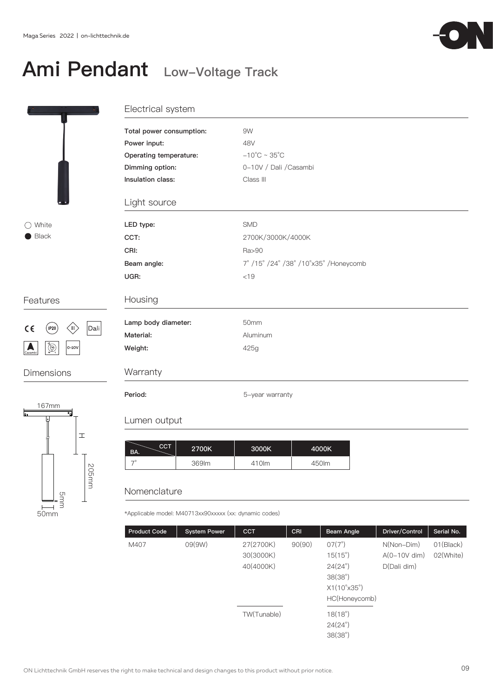## Ami Pendant Low-Voltage Track



### Electrical system

|                                                     | Total power consumption: | 9W                                     |  |
|-----------------------------------------------------|--------------------------|----------------------------------------|--|
|                                                     | Power input:             | 48V                                    |  |
|                                                     | Operating temperature:   | $-10^{\circ}$ C ~ 35 $^{\circ}$ C      |  |
|                                                     | Dimming option:          | 0-10V / Dali / Casambi                 |  |
|                                                     | Insulation class:        | Class III                              |  |
|                                                     | Light source             |                                        |  |
| $\bigcirc$ White                                    | LED type:                | <b>SMD</b>                             |  |
| Black                                               | CCT:                     | 2700K/3000K/4000K                      |  |
|                                                     | CRI:                     | Ra>90                                  |  |
|                                                     | Beam angle:              | 7° /15° /24° /38° /10° x35° /Honeycomb |  |
|                                                     | UGR:                     | < 19                                   |  |
| Features                                            | Housing                  |                                        |  |
| Dali<br>$($ IP20 $)$<br>〈II〉                        | Lamp body diameter:      | 50mm                                   |  |
| $C \in$                                             | Material:                | Aluminum                               |  |
| $\bigoplus_{\kappa}^{\kappa}$<br>$0-10V$<br>Casambi | Weight:                  | 425g                                   |  |
| <b>Dimensions</b>                                   | Warranty                 |                                        |  |
|                                                     | Period:                  | 5-year warranty                        |  |

### Lumen output

| <b>CCT</b><br>BA. | 2700K | 3000K | 4000K |
|-------------------|-------|-------|-------|
|                   | 369lm | 410lm | 450lm |

#### Nomenclature

205mm

 $\pm$ 

50mm

 $\overline{a}$ 

167mm

т.

局

5mm

\*Applicable model: M40713xx90xxxxx (xx: dynamic codes)

| <b>Product Code</b> | <b>System Power</b> | <b>CCT</b>  | CRI    | Beam Angle                  | Driver/Control | Serial No. |
|---------------------|---------------------|-------------|--------|-----------------------------|----------------|------------|
| M407                | 09(9W)              | 27(2700K)   | 90(90) | $07(7^{\circ})$             | $N(Non-Dim)$   | 01(Black)  |
|                     |                     | 30(3000K)   |        | $15(15^{\circ})$            | $A(0-10V$ dim) | 02(White)  |
|                     |                     | 40(4000K)   |        | $24(24^{\circ})$            | D(Dali dim)    |            |
|                     |                     |             |        | 38(38°)                     |                |            |
|                     |                     |             |        | $X1(10^{\circ}x35^{\circ})$ |                |            |
|                     |                     |             |        | HC(Honeycomb)               |                |            |
|                     |                     | TW(Tunable) |        | 18(18°)                     |                |            |
|                     |                     |             |        | $24(24^{\circ})$            |                |            |
|                     |                     |             |        | 38(38°)                     |                |            |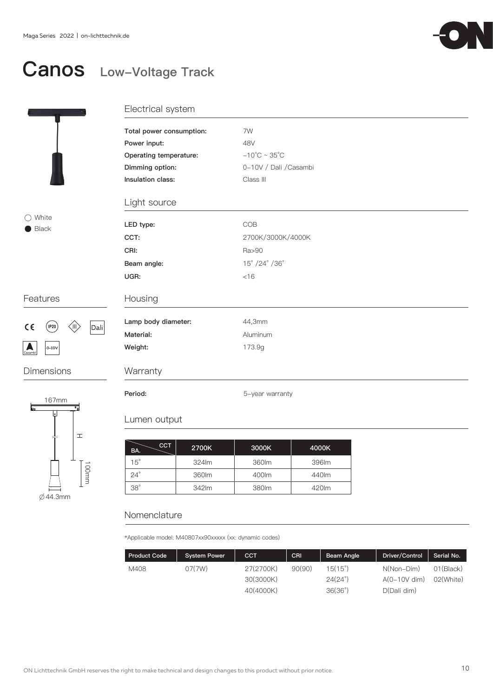

## Canos Low-Voltage Track



### ○ White Black

### Features



Dimensions



Electrical system

| Total power consumption: | 7W                                |
|--------------------------|-----------------------------------|
| Power input:             | 48V                               |
| Operating temperature:   | $-10^{\circ}$ C ~ 35 $^{\circ}$ C |
| Dimming option:          | 0-10V / Dali / Casambi            |
| Insulation class:        | Class III                         |
| Light source             |                                   |
| LED type:                | COB                               |
| CCT:                     | 2700K/3000K/4000K                 |
| CRI:                     | Ra>90                             |
| Beam angle:              | 15° /24° /36°                     |
| UGR:                     | <16                               |
| Housing                  |                                   |
| Lamp body diameter:      | 44,3mm                            |
| Material:                | Aluminum                          |
| Weight:                  | 173.9g                            |
| Warranty                 |                                   |
| Period:                  | 5-year warranty                   |

#### Lumen output

| CCT<br>BA. | 2700K | 3000K | 4000K |
|------------|-------|-------|-------|
| $15^\circ$ | 324m  | 360lm | 396lm |
| $24^\circ$ | 360lm | 400lm | 440lm |
| $38^\circ$ | 342lm | 380lm | 420lm |

### Nomenclature

\*Applicable model: M40807xx90xxxxx (xx: dynamic codes)

| <b>Product Code</b> | <b>System Power</b> | <b>CCT</b>             | <b>CRI</b> | Beam Angle                       | Driver/Control               | Serial No.                          |
|---------------------|---------------------|------------------------|------------|----------------------------------|------------------------------|-------------------------------------|
| M408                | 07(7W)              | 27(2700K)<br>30(3000K) | 90(90)     | $15(15^\circ)$<br>$24(24^\circ)$ | N(Non-Dim)<br>$A(0-10V$ dim) | 01(B <sub>l</sub> )<br>$02$ (White) |
|                     |                     | 40(4000K)              |            | $36(36^\circ)$                   | D(Dali dim)                  |                                     |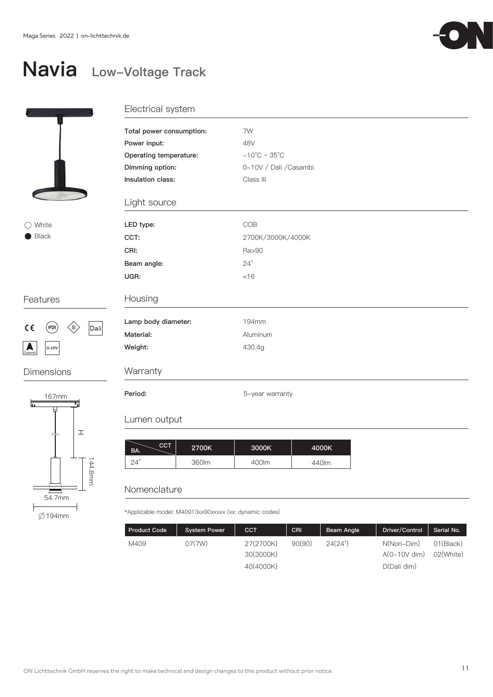

## Navia Low-Voltage Track



○ White ● Black

#### Features



Dimensions



### Electrical system

| Total power consumption: | 7W                                |
|--------------------------|-----------------------------------|
| Power input:             | 48V                               |
| Operating temperature:   | $-10^{\circ}$ C ~ 35 $^{\circ}$ C |
| Dimming option:          | 0-10V / Dali / Casambi            |
| Insulation class:        | Class III                         |
|                          |                                   |
| Light source             |                                   |
|                          |                                   |
| LED type:                | COB                               |
| CCT:                     | 2700K/3000K/4000K                 |
| CRI:                     | Ra>90                             |
| Beam angle:              | $24^{\circ}$                      |
| UGR:                     | $<$ 16                            |
|                          |                                   |
| Housing                  |                                   |
|                          |                                   |
| Lamp body diameter:      | 194mm                             |
| Material:                | Aluminum                          |
| Weight:                  | 430.4g                            |
| Warranty                 |                                   |
|                          |                                   |
| Period:                  | 5-year warranty                   |

#### Lumen output

| <b>CCT</b><br>BA. | 2700K | 3000K | 4000K |
|-------------------|-------|-------|-------|
| $24^\circ$        | 360lm | 400lm | 440lm |

### Nomenclature

\*Applicable model: M40913xx90xxxxx (xx: dynamic codes)

| <b>Product Code</b> | <b>System Power</b> | <b>CCT</b>             | CRI    | Beam Angle     | Driver/Control               | Serial No.                          |
|---------------------|---------------------|------------------------|--------|----------------|------------------------------|-------------------------------------|
| M409                | 07(7W)              | 27(2700K)<br>30(3000K) | 90(90) | $24(24^\circ)$ | N(Non-Dim)<br>$A(0-10V$ dim) | 01(B <sub>l</sub> )<br>$02$ (White) |
|                     |                     | 40(4000K)              |        |                | D(Dali dim)                  |                                     |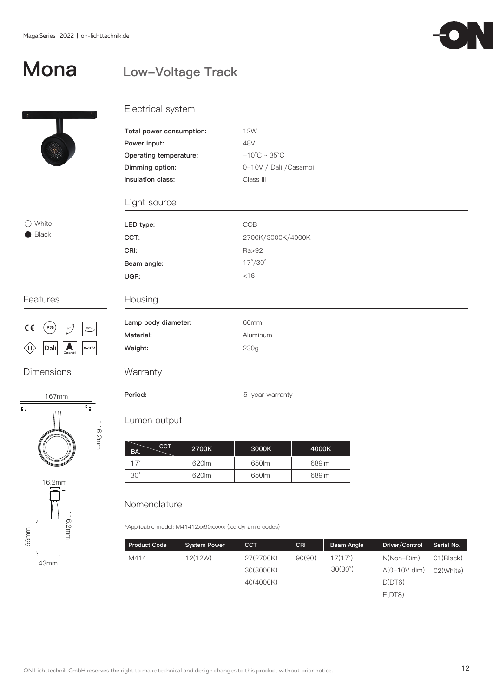

## Mona

### Low-Voltage Track



### Electrical system

| Total power consumption: | <b>12W</b>                        |
|--------------------------|-----------------------------------|
| Power input:             | 48V                               |
| Operating temperature:   | $-10^{\circ}$ C ~ 35 $^{\circ}$ C |
| Dimming option:          | 0-10V / Dali / Casambi            |
| Insulation class:        | Class III                         |
| Light source             |                                   |
| LED type:                | COB                               |
| CCT:                     | 2700K/3000K/4000K                 |
| CRI:                     | Ra>92                             |
| Beam angle:              | $17^{\circ}/30^{\circ}$           |
| UGR:                     | < 16                              |
| Housing                  |                                   |
| Lamp body diameter:      | 66mm                              |
| Material:                | Aluminum                          |
| Weight:                  | 230g                              |
| Warranty                 |                                   |

### Features

○ White Black



### Dimensions





Lumen output

#### $\left\lfloor \frac{\text{CCT}}{\text{CCT}} \right\rfloor$  2700K  $\left\lfloor \frac{\text{CCT}}{\text{CCT}} \right\rfloor$ 620lm 650lm 17° 689lm 4000K BA.

30° 620lm 650lm 689lm

### Nomenclature

\*Applicable model: M41412xx90xxxxx (xx: dynamic codes)

Period: 5-year warranty

| <b>Product Code</b> | <b>System Power</b> | <b>CCT</b> | CRI    | Beam Angle       | Driver/Control | Serial No. |
|---------------------|---------------------|------------|--------|------------------|----------------|------------|
| M414                | 12(12W)             | 27(2700K)  | 90(90) | 17(17°)          | N(Non-Dim)     | 01(Black)  |
|                     |                     | 30(3000K)  |        | $30(30^{\circ})$ | $A(0-10V$ dim) | 02(White)  |
|                     |                     | 40(4000K)  |        |                  | D(DT6)         |            |
|                     |                     |            |        |                  | E(DT8)         |            |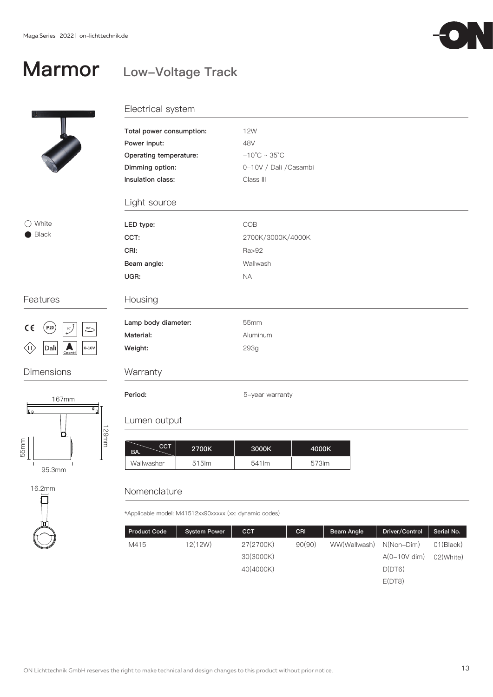### Marmor Low-Voltage Track



### Electrical system

| Total power consumption: | <b>12W</b>                        |
|--------------------------|-----------------------------------|
| Power input:             | 48V                               |
| Operating temperature:   | $-10^{\circ}$ C ~ 35 $^{\circ}$ C |
| Dimming option:          | 0-10V / Dali / Casambi            |
| Insulation class:        | Class III                         |
| Light source             |                                   |
| LED type:                | COB                               |
| CCT:                     | 2700K/3000K/4000K                 |
| CRI:                     | Ra>92                             |
| Beam angle:              | Wallwash                          |
| UGR:                     | <b>NA</b>                         |
| Housing                  |                                   |
| Lamp body diameter:      | 55mm                              |
| Material:                | Aluminum                          |
| Weight:                  | 293g                              |
| Warranty                 |                                   |

### Features

◯ White Black



### Dimensions





Period: 5-year warranty

### Lumen output

| CCT.<br>BA. | 2700K | 3000K  | 4000K |
|-------------|-------|--------|-------|
| Wallwasher  | 515lm | 541 lm | 573lm |

### Nomenclature

\*Applicable model: M41512xx90xxxxx (xx: dynamic codes)

| <b>Product Code</b> | <b>System Power</b> | <b>CCT</b> | CRI    | Beam Angle   | Driver/Control | Serial No.          |
|---------------------|---------------------|------------|--------|--------------|----------------|---------------------|
| M415                | 12(12W)             | 27(2700K)  | 90(90) | WW(Wallwash) | $N(Non-Dim)$   | 01(B <sub>l</sub> ) |
|                     |                     | 30(3000K)  |        |              | $A(0-10V$ dim) | 02(White)           |
|                     |                     | 40(4000K)  |        |              | D(DT6)         |                     |
|                     |                     |            |        |              | E(DT8)         |                     |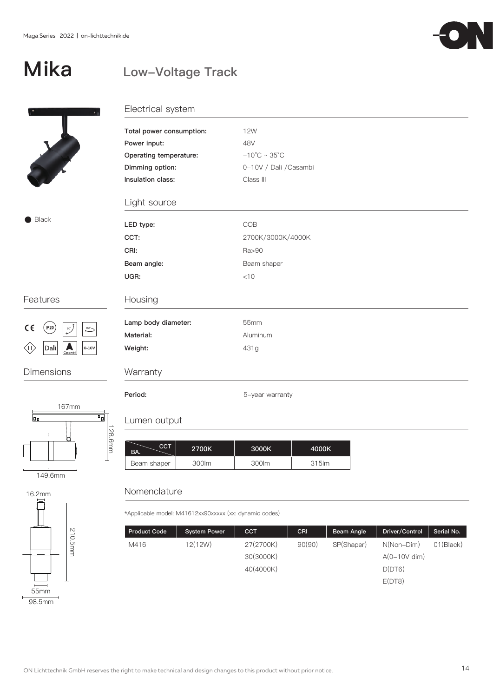## Mika

### Low-Voltage Track



## Electrical system

| Total power consumption: | 12W                               |
|--------------------------|-----------------------------------|
| Power input:             | 48V                               |
| Operating temperature:   | $-10^{\circ}$ C ~ 35 $^{\circ}$ C |
| Dimming option:          | 0-10V / Dali / Casambi            |
| Insulation class:        | Class III                         |
| Light source             |                                   |
| LED type:                | COB                               |
| CCT:                     | 2700K/3000K/4000K                 |
| CRI:                     | Ra>90                             |
| Beam angle:              | Beam shaper                       |
| UGR:                     | < 10                              |
| Housing                  |                                   |
| Lamp body diameter:      | 55mm                              |
| Material:                | Aluminum                          |
| Weight:                  | 431g                              |
| Warranty                 |                                   |

### Features

Black



### Dimensions





### Lumen output

| CCT.<br>BA. | 2700K | 3000K | 4000K |
|-------------|-------|-------|-------|
| Beam shaper | 300lm | 300lm | 315lm |

### Nomenclature

\*Applicable model: M41612xx90xxxxx (xx: dynamic codes)

Period: **Fig. 2.1 Fig. 2.1 Fig. 2.1 Fig. 2.1 Fig. 2.1 Fig. 2.1 Fig. 2.1 Fig. 2.1 Fig. 2.1 Fig. 2.1 Fig. 2.1 Fig. 2.1 Fig. 2.1 Fig. 2.1 Fig. 2.1 Fig. 2.1 Fig. 2.1 Fig. 2.1 Fig. 2.1 Fig. 2.1 Fig. 2.1 Fig. 2.1 Fig. 2.1 Fig. 2** 

| <b>Product Code</b> | <b>System Power</b> | <b>CCT</b> | <b>CRI</b> | Beam Angle | Driver/Control | Serial No. |
|---------------------|---------------------|------------|------------|------------|----------------|------------|
| M416                | 12(12W)             | 27(2700K)  | 90(90)     | SP(Shaper) | $N(Non-Dim)$   | 01(Black)  |
|                     |                     | 30(3000K)  |            |            | $A(0-10V$ dim) |            |
|                     |                     | 40(4000K)  |            |            | D(DT6)         |            |
|                     |                     |            |            |            | E(DT8)         |            |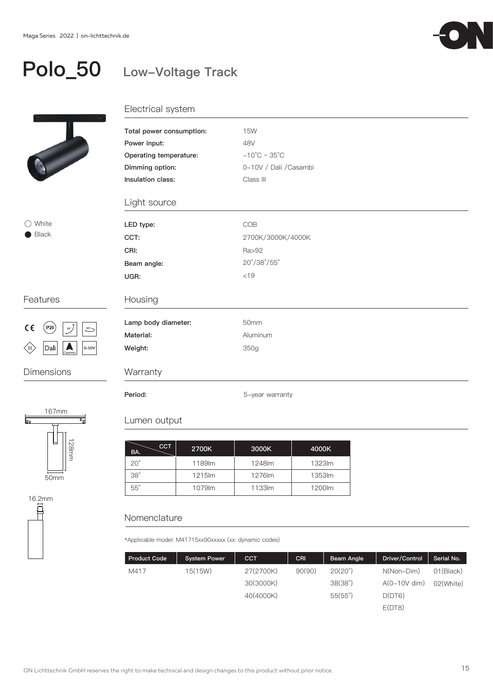

### Polo\_50 Low-Voltage Track



### ◯ White Black

### Features



Dimensions



16.2mm 耳

| Total power consumption: | <b>15W</b>                         |  |  |  |  |  |
|--------------------------|------------------------------------|--|--|--|--|--|
| Power input:             | 48V                                |  |  |  |  |  |
| Operating temperature:   | $-10^{\circ}$ C ~ 35 $^{\circ}$ C  |  |  |  |  |  |
| Dimming option:          | 0-10V / Dali / Casambi             |  |  |  |  |  |
| Insulation class:        | Class III                          |  |  |  |  |  |
| Light source             |                                    |  |  |  |  |  |
| LED type:                | <b>COB</b>                         |  |  |  |  |  |
| CCT:                     | 2700K/3000K/4000K                  |  |  |  |  |  |
| CRI:                     | Ra>92                              |  |  |  |  |  |
| Beam angle:              | $20^{\circ}/38^{\circ}/55^{\circ}$ |  |  |  |  |  |
| UGR:                     | < 19                               |  |  |  |  |  |
| Housing                  |                                    |  |  |  |  |  |
| Lamp body diameter:      | 50mm                               |  |  |  |  |  |
| Material:                | Aluminum                           |  |  |  |  |  |
| Weight:                  | 350g                               |  |  |  |  |  |
| Warranty                 |                                    |  |  |  |  |  |
| Period:                  | 5-year warranty                    |  |  |  |  |  |

### Lumen output

| CCT<br>BA. | 2700K  | 3000K  | 4000K  |
|------------|--------|--------|--------|
| $20^\circ$ | 1189lm | 1248lm | 1323lm |
| $38^\circ$ | 1215lm | 1276lm | 1353lm |
| $55^\circ$ | 1079lm | 1133lm | 1200lm |

### Nomenclature

\*Applicable model: M41715xx90xxxxx (xx: dynamic codes)

| <b>Product Code</b> | <b>System Power</b> | <b>CCT</b> | CRI    | Beam Angle       | Driver/Control | Serial No. |
|---------------------|---------------------|------------|--------|------------------|----------------|------------|
| M417                | 15(15W)             | 27(2700K)  | 90(90) | $20(20^{\circ})$ | $N(Non-Dim)$   | 01(Black)  |
|                     |                     | 30(3000K)  |        | 38(38°)          | $A(0-10V$ dim) | 02(White)  |
|                     |                     | 40(4000K)  |        | 55(55)           | D(DT6)         |            |
|                     |                     |            |        |                  | E(DT8)         |            |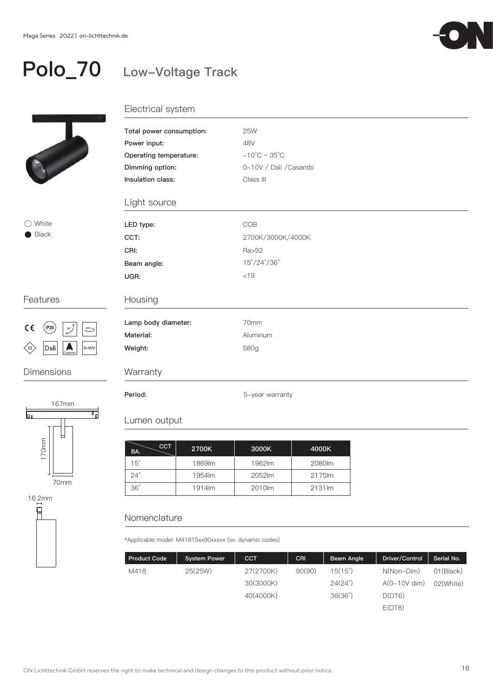

### Polo\_70 Low-Voltage Track



### ◯ White Black

### Features



### Dimensions



 $\overline{R}$ 

| Electrical system |  |
|-------------------|--|

| Total power consumption: | <b>25W</b>                         |  |  |  |  |
|--------------------------|------------------------------------|--|--|--|--|
| Power input:             | 48V                                |  |  |  |  |
| Operating temperature:   | $-10^{\circ}$ C ~ 35 $^{\circ}$ C  |  |  |  |  |
| Dimming option:          | 0-10V / Dali / Casambi             |  |  |  |  |
| Insulation class:        | Class III                          |  |  |  |  |
| Light source             |                                    |  |  |  |  |
| LED type:                | COB                                |  |  |  |  |
| CCT:                     | 2700K/3000K/4000K                  |  |  |  |  |
| CRI:                     | Ra>92                              |  |  |  |  |
| Beam angle:              | $15^{\circ}/24^{\circ}/36^{\circ}$ |  |  |  |  |
| UGR:                     | < 19                               |  |  |  |  |
| Housing                  |                                    |  |  |  |  |
| Lamp body diameter:      | 70mm                               |  |  |  |  |
| Material:                | Aluminum                           |  |  |  |  |
| Weight:                  | 580g                               |  |  |  |  |
| Warranty                 |                                    |  |  |  |  |
| Period:                  | 5-year warranty                    |  |  |  |  |

### Lumen output

| CCT<br>BA. | 2700K  | 3000K  | 4000K  |
|------------|--------|--------|--------|
| $15^\circ$ | 1869lm | 1962lm | 2080lm |
| $24^\circ$ | 1954lm | 2052lm | 2175m  |
| $36^\circ$ | 1914lm | 2010lm | 2131lm |

### Nomenclature

\*Applicable model: M41815xx90xxxxx (xx: dynamic codes)

| <b>Product Code</b> | <b>System Power</b> | <b>CCT</b> | CRI    | Beam Angle       | Driver/Control | Serial No. |
|---------------------|---------------------|------------|--------|------------------|----------------|------------|
| M418                | 25(25W)             | 27(2700K)  | 90(90) | $15(15^{\circ})$ | $N(Non-Dim)$   | 01(Black)  |
|                     |                     | 30(3000K)  |        | $24(24^\circ)$   | $A(0-10V$ dim) | 02(White)  |
|                     |                     | 40(4000K)  |        | 36(36°)          | D(DT6)         |            |
|                     |                     |            |        |                  | E(DT8)         |            |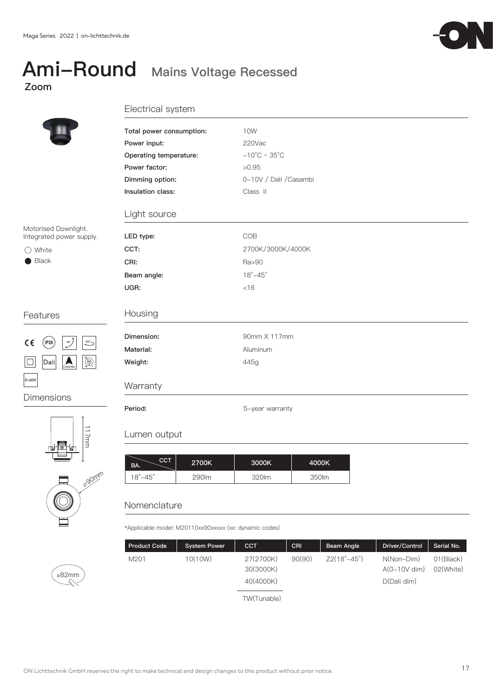# Ami-Round Mains Voltage Recessed





| Total power consumption: | 10W                               |
|--------------------------|-----------------------------------|
| Power input:             | 220Vac                            |
| Operating temperature:   | $-10^{\circ}$ C ~ 35 $^{\circ}$ C |
| Power factor:            | >0.95                             |
| Dimming option:          | 0-10V / Dali / Casambi            |
| Insulation class:        | Class II                          |
| Light source             |                                   |
| LED type:                | COB                               |
| CCT:                     | 2700K/3000K/4000K                 |
| CRI:                     | Ra>90                             |
| Beam angle:              | $18^\circ - 45^\circ$             |
| UGR:                     | $<$ 16                            |
| Housing                  |                                   |
| Dimension:               | 90mm X 117mm                      |
| Material:                | Aluminum                          |
| Weight:                  | 445g                              |
| Warranty                 |                                   |
| Period:                  | 5-year warranty                   |

| сст<br>BA.            | 2700K | 3000K | 4000K |
|-----------------------|-------|-------|-------|
| $18^\circ - 45^\circ$ | 290lm | 320lm | 350lm |

### Nomenclature

\*Applicable model: M20110xx90xxxxx (xx: dynamic codes)

| <b>Product Code</b> | <b>System Power</b> | <b>CCT</b>                          | CRI    | Beam Angle                | Driver/Control                              | Serial No.             |
|---------------------|---------------------|-------------------------------------|--------|---------------------------|---------------------------------------------|------------------------|
| M201                | 10(10W)             | 27(2700K)<br>30(3000K)<br>40(4000K) | 90(90) | $Z2(18^\circ - 45^\circ)$ | N(Non-Dim)<br>$A(0-10V$ dim)<br>D(Dali dim) | 01(Black)<br>02(White) |
|                     |                     | TW(Tunable)                         |        |                           |                                             |                        |

Motorised Downlight. Integrated power sup

○ White Black

### Features



Dimensions





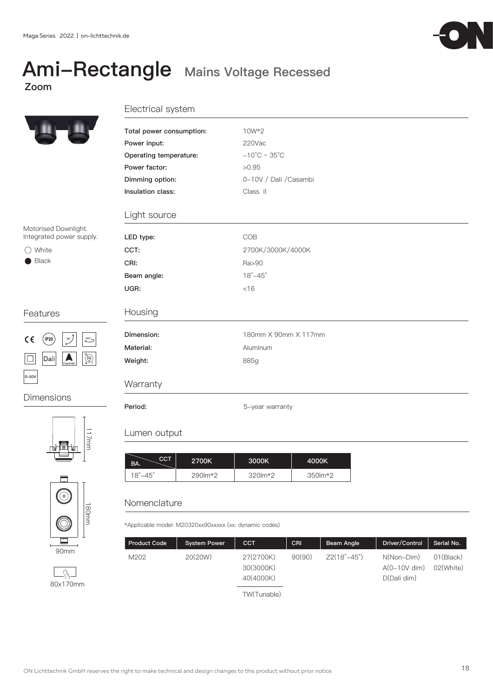### Ami-Rectangle Mains Voltage Recessed Zoom



### Electrical system

| Total power consumption: | 10W*2                             |
|--------------------------|-----------------------------------|
| Power input:             | 220Vac                            |
| Operating temperature:   | $-10^{\circ}$ C ~ 35 $^{\circ}$ C |
| Power factor:            | >0.95                             |
| Dimming option:          | 0-10V / Dali / Casambi            |
| Insulation class:        | Class II                          |
| Light source             |                                   |
| LED type:                | COB                               |
| CCT:                     | 2700K/3000K/4000K                 |
| CRI:                     | Ra>90                             |
| Beam angle:              | $18^\circ - 45^\circ$             |
| UGR:                     | $<$ 16                            |
| Housing                  |                                   |
| Dimension:               | 180mm X 90mm X 117mm              |
| Material:                | Aluminum                          |
| Weight:                  | 885g                              |
| Warranty                 |                                   |
| Period:                  | 5-year warranty                   |

### Lumen output

| <b>CCT</b><br>BA.     | 2700K                     | 3000K                      | 4000K        |
|-----------------------|---------------------------|----------------------------|--------------|
| $18^\circ - 45^\circ$ | $290$ $\rm{m}$ $\times$ 2 | $320 \, \text{m} \times 2$ | $350$ m $*2$ |

### Nomenclature

\*Applicable model: M20320xx90xxxxx (xx: dynamic codes)

| <b>Product Code</b> | <b>System Power</b> | <b>CCT</b>                          | CRI    | Beam Angle  | Driver/Control                              | Serial No.                       |
|---------------------|---------------------|-------------------------------------|--------|-------------|---------------------------------------------|----------------------------------|
| M202                | 20(20W)             | 27(2700K)<br>30(3000K)<br>40(4000K) | 90(90) | Z2(18°–45°) | N(Non-Dim)<br>$A(0-10V$ dim)<br>D(Dali dim) | 01(B <sub>l</sub> )<br>02(White) |
|                     |                     | TW(Tunable)                         |        |             |                                             |                                  |

Motorised Downlight. Integrated power supply.

○ White Black

### Features



Dimensions





80x170mm

 $\overline{\mathcal{L}^2_{\mathcal{H}}\mathcal{L}}$ 

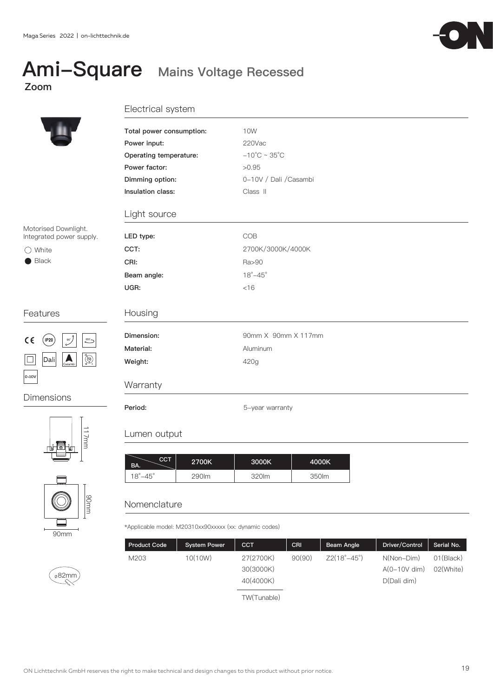# Zoom

### Ami-Square Mains Voltage Recessed



117mm

90mm

### Electrical system

|                                                                                   | Total power consumption:             | <b>10W</b>                        |
|-----------------------------------------------------------------------------------|--------------------------------------|-----------------------------------|
|                                                                                   | Power input:                         | 220Vac                            |
|                                                                                   | Operating temperature:               | $-10^{\circ}$ C ~ 35 $^{\circ}$ C |
|                                                                                   | Power factor:                        | >0.95                             |
|                                                                                   | Dimming option:                      | 0-10V / Dali / Casambi            |
|                                                                                   | Insulation class:                    | Class II                          |
|                                                                                   | Light source                         |                                   |
| Motorised Downlight.<br>Integrated power supply.                                  | LED type:                            | COB                               |
| $\bigcirc$ White                                                                  | CCT:                                 | 2700K/3000K/4000K                 |
| $\blacksquare$ Black                                                              | CRI:                                 | Ra>90                             |
|                                                                                   | Beam angle:                          | $18^\circ - 45^\circ$             |
|                                                                                   | UGR:                                 | < 16                              |
| Features                                                                          | Housing                              |                                   |
| $C \in$<br>(IP20<br>355<br>$90^\circ$                                             | Dimension:                           | 90mm X 90mm X 117mm               |
|                                                                                   | Material:                            | Aluminum                          |
| $\bigcirc \n\bigcirc$<br>$ \mathsf{Dali} $<br>$\sum_{\text{Casambi}}$<br>$\sqcup$ | Weight:                              | 420g                              |
| $ 0 - 10V$                                                                        |                                      |                                   |
|                                                                                   | Warranty                             |                                   |
| <b>Dimensions</b>                                                                 | Period:                              | 5-year warranty                   |
|                                                                                   |                                      |                                   |
| $\overrightarrow{=}$                                                              | بالمراجع والمستنقذ والمتحدد والمنافر |                                   |

### Lumen output

| <b>CCT</b><br>BA.     | 2700K | 3000K | 4000K |
|-----------------------|-------|-------|-------|
| $18^\circ - 45^\circ$ | 290lm | 320lm | 350lm |

### **Nomenclature**

\*Applicable model: M20310xx90xxxxx (xx: dynamic codes)



TW(Tunable)

90mm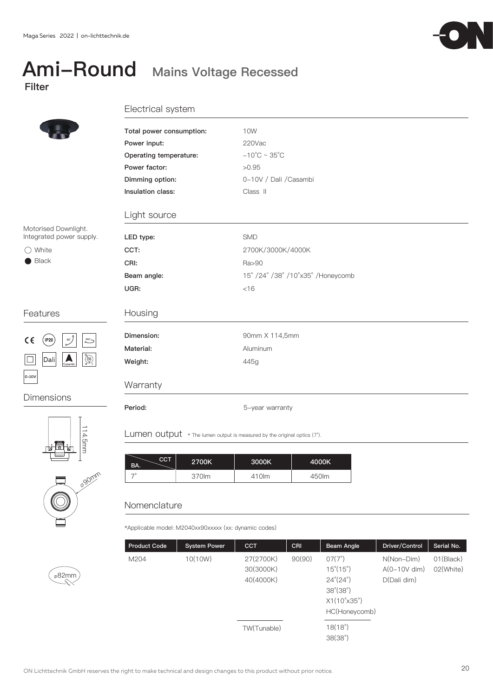# Filter

### Ami-Round Mains Voltage Recessed



#### Electrical system

|                                                                   | Total power consumption: | 10W                                |
|-------------------------------------------------------------------|--------------------------|------------------------------------|
|                                                                   | Power input:             | 220Vac                             |
|                                                                   |                          |                                    |
|                                                                   | Operating temperature:   | $-10^{\circ}$ C ~ 35 $^{\circ}$ C  |
|                                                                   | Power factor:            | >0.95                              |
|                                                                   | Dimming option:          | 0-10V / Dali / Casambi             |
|                                                                   | Insulation class:        | Class II                           |
|                                                                   | Light source             |                                    |
| Motorised Downlight.                                              |                          |                                    |
| Integrated power supply.                                          | LED type:                | <b>SMD</b>                         |
| $\bigcirc$ White                                                  | CCT:                     | 2700K/3000K/4000K                  |
| $\blacksquare$ Black                                              | CRI:                     | Ra>90                              |
|                                                                   | Beam angle:              | 15° /24° /38° /10° x35° /Honeycomb |
|                                                                   | UGR:                     | $<$ 16                             |
| Features                                                          | Housing                  |                                    |
| $C \in$<br>$($ IP20 $)$<br>$\overline{\mathscr{S}}$<br>355        | Dimension:               | 90mm X 114,5mm                     |
|                                                                   | Material:                | Aluminum                           |
| $\bigcirc \n\bigcirc$<br>Dali<br>$\overline{\phantom{a}}$ Casambi | Weight:                  | 445g                               |
| $0 - 10V$                                                         | Warranty                 |                                    |
| <b>Dimensions</b>                                                 |                          |                                    |
|                                                                   | Period:                  | 5-year warranty                    |
|                                                                   |                          |                                    |



**90mm**<br>90mm 114.5mm



82mm

Lumen output  $*$  The lumen output is measured by the original optics (7°).

| сст<br>BA. | 2700K | 3000K | 4000K |
|------------|-------|-------|-------|
|            | 370lm | 410lm | 450lm |

### Nomenclature

\*Applicable model: M2040xx90xxxxx (xx: dynamic codes)

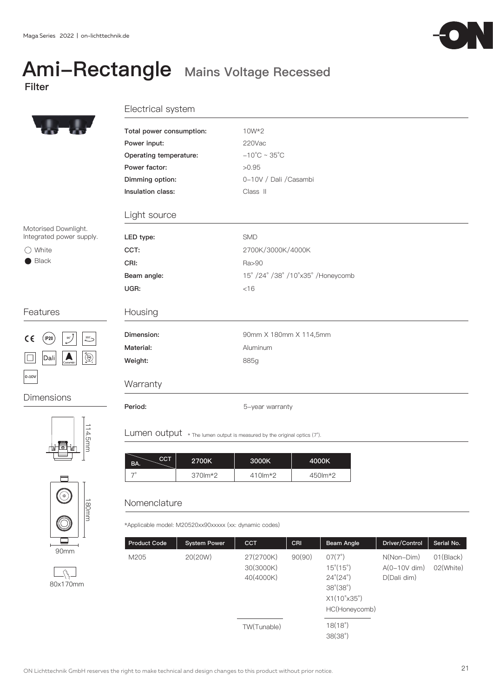# Ami-Rectangle Mains Voltage Recessed



### Electrical system

|                                                                            | Total power consumption: | 10W*2                              |
|----------------------------------------------------------------------------|--------------------------|------------------------------------|
|                                                                            | Power input:             | 220Vac                             |
|                                                                            | Operating temperature:   | $-10^{\circ}$ C ~ 35 $^{\circ}$ C  |
|                                                                            | Power factor:            | >0.95                              |
|                                                                            | Dimming option:          | 0-10V / Dali / Casambi             |
|                                                                            | Insulation class:        | Class II                           |
|                                                                            | Light source             |                                    |
| Motorised Downlight.                                                       |                          |                                    |
| Integrated power supply.                                                   | LED type:                | <b>SMD</b>                         |
| $\bigcirc$ White                                                           | CCT:                     | 2700K/3000K/4000K                  |
| $\blacksquare$ Black                                                       | CRI:                     | Ra>90                              |
|                                                                            | Beam angle:              | 15° /24° /38° /10° x35° /Honeycomb |
|                                                                            | UGR:                     | $<$ 16                             |
| Features                                                                   | Housing                  |                                    |
| $\circ$ $\circ$ $\circ$<br>$\epsilon$<br>$($ IP20 $)$<br>$355 -$           | Dimension:               | 90mm X 180mm X 114,5mm             |
|                                                                            | Material:                | Aluminum                           |
| $\bigotimes_{\kappa}^{\infty}$<br>Dali<br>$\overline{\phantom{a}}$ Casambi | Weight:                  | 885g                               |
| $ 0 - 10V $                                                                | Warranty                 |                                    |
| Dimensions                                                                 | Period:                  | 5-year warranty                    |
|                                                                            |                          |                                    |



114.5mm 114.5mm



Lumen output \* The lumen output is measured by the original optics (7°).

| <b>CCT</b><br>BA. | 2700K        | 3000K    | 4000K    |
|-------------------|--------------|----------|----------|
|                   | $370$ m $*2$ | 410 lm*2 | 450 lm*2 |

### Nomenclature

\*Applicable model: M20520xx90xxxxx (xx: dynamic codes)

| <b>Product Code</b> | <b>System Power</b> | <b>CCT</b>                          | CRI    | Beam Angle                                                                                                                                          | Driver/Control                                | Serial No.             |
|---------------------|---------------------|-------------------------------------|--------|-----------------------------------------------------------------------------------------------------------------------------------------------------|-----------------------------------------------|------------------------|
| M205                | 20(20W)             | 27(2700K)<br>30(3000K)<br>40(4000K) | 90(90) | $07(7^{\circ})$<br>$15^{\circ}(15^{\circ})$<br>$24^{\circ}(24^{\circ})$<br>$38^{\circ}(38^{\circ})$<br>$X1(10^{\circ}x35^{\circ})$<br>HC(Honeycomb) | $N(Non-Dim)$<br>$A(0-10V$ dim)<br>D(Dali dim) | 01(Black)<br>02(White) |
|                     |                     | TW(Tunable)                         |        | 18(18°)<br>38(38°)                                                                                                                                  |                                               |                        |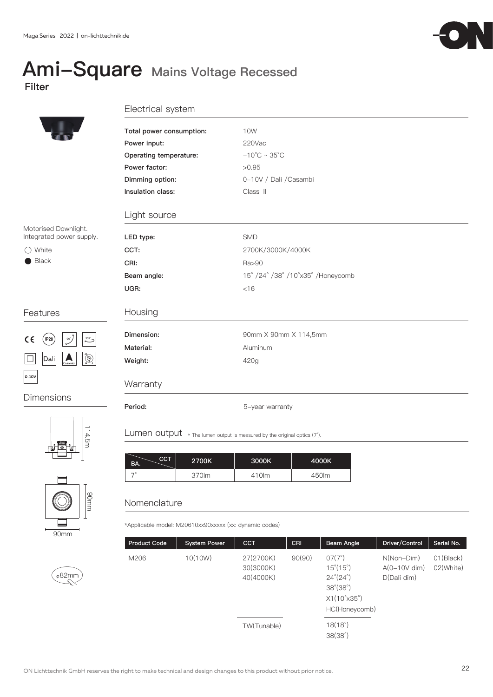### Ami-Square Mains Voltage Recessed Filter



### Electrical system

| Total power consumption:<br>Power input: | 10W<br>220Vac                                                         |                                                                                         |  |  |
|------------------------------------------|-----------------------------------------------------------------------|-----------------------------------------------------------------------------------------|--|--|
|                                          |                                                                       |                                                                                         |  |  |
|                                          |                                                                       |                                                                                         |  |  |
|                                          |                                                                       |                                                                                         |  |  |
|                                          |                                                                       |                                                                                         |  |  |
|                                          |                                                                       |                                                                                         |  |  |
| Insulation class:                        | Class II                                                              |                                                                                         |  |  |
| Light source                             |                                                                       |                                                                                         |  |  |
| LED type:                                | <b>SMD</b>                                                            |                                                                                         |  |  |
| CCT:                                     | 2700K/3000K/4000K                                                     |                                                                                         |  |  |
| CRI:                                     | Ra>90                                                                 |                                                                                         |  |  |
| Beam angle:                              | 15° /24° /38° /10° x35° /Honeycomb                                    |                                                                                         |  |  |
| UGR:                                     | $<$ 16                                                                |                                                                                         |  |  |
| Housing                                  |                                                                       |                                                                                         |  |  |
| Dimension:                               | 90mm X 90mm X 114,5mm                                                 |                                                                                         |  |  |
| Material:                                | Aluminum                                                              |                                                                                         |  |  |
| Weight:                                  | 420g                                                                  |                                                                                         |  |  |
| Warranty                                 |                                                                       |                                                                                         |  |  |
|                                          |                                                                       |                                                                                         |  |  |
|                                          |                                                                       |                                                                                         |  |  |
|                                          | Operating temperature:<br>Power factor:<br>Dimming option:<br>Period: | $-10^{\circ}$ C ~ 35 $^{\circ}$ C<br>>0.95<br>0-10V / Dali / Casambi<br>5-year warranty |  |  |







 $\overset{\circ}{\text{682mm}}$ 

Lumen output \* The lumen output is measured by the original optics (7°).

| CCT.<br>BA. | 2700K | 3000K | 4000K |
|-------------|-------|-------|-------|
|             | 370lm | 410lm | 450lm |

### Nomenclature

\*Applicable model: M20610xx90xxxxx (xx: dynamic codes)

| <b>Product Code</b> | <b>System Power</b> | <b>CCT</b>                          | CRI    | Beam Angle                                                                                                                                          | Driver/Control                              | Serial No.                       |
|---------------------|---------------------|-------------------------------------|--------|-----------------------------------------------------------------------------------------------------------------------------------------------------|---------------------------------------------|----------------------------------|
| M206                | 10(10W)             | 27(2700K)<br>30(3000K)<br>40(4000K) | 90(90) | $07(7^{\circ})$<br>$15^{\circ}(15^{\circ})$<br>$24^{\circ}(24^{\circ})$<br>$38^{\circ}(38^{\circ})$<br>$X1(10^{\circ}x35^{\circ})$<br>HC(Honeycomb) | N(Non-Dim)<br>$A(0-10V$ dim)<br>D(Dali dim) | 01(B <sub>l</sub> )<br>02(White) |
|                     |                     | TW(Tunable)                         |        | 18(18°)<br>38(38°)                                                                                                                                  |                                             |                                  |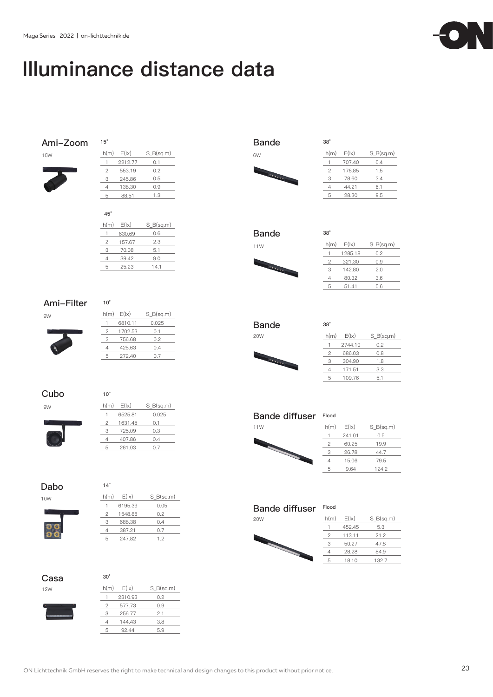## Illuminance distance data

### **Ami-Zoom 15°**

10W

| h(m) | E( x)   | $S$ B(sq.m) |
|------|---------|-------------|
|      | 2212.77 | 0.1         |
| 2    | 553.19  | 0.2         |
| 3    | 245.86  | 0.5         |
|      | 138.30  | 0.9         |
| 5    | 88.51   | 1.3         |
|      |         |             |

**45°**

| h(m) | E( x)  | $S$ B(sq.m) |
|------|--------|-------------|
|      | 630.69 | 0.6         |
| 2    | 157.67 | 2.3         |
| 3    | 70.08  | 5.1         |
| 4    | 39.42  | 9.0         |
| 5    | 25.23  | 141         |

### **Ami-Filter 10°**

9W



### **Cubo 10°**

9W

| h(m) | E( x)   | $S$ B(sq.m) |
|------|---------|-------------|
|      | 6525.81 | 0.025       |
| 2    | 1631.45 | 0.1         |
| З    | 725.09  | 0.3         |
|      | 407.86  | 0.4         |
| ц    | 261.03  | 0.7         |



| $S_B(sq.m)$ |
|-------------|
|             |
|             |
|             |
|             |
|             |
|             |
|             |

### **Casa 30°**



| ---- |      |         |             |
|------|------|---------|-------------|
| 12W  | h(m) | E( x)   | $S_B(sq.m)$ |
|      |      | 2310.93 | 0.2         |
|      |      | 577.73  | 0.9         |
|      | 3    | 256.77  | 2.1         |
|      |      | 144.43  | 3.8         |
|      | 5    | 92.44   | 5.9         |
|      |      |         |             |

| <b>Bande</b> | $38^\circ$ |
|--------------|------------|
| 6W           |            |
|              |            |
|              | 2          |
|              |            |

| 6W             | h(m) | E( x)  | $S_B(sq.m)$ |
|----------------|------|--------|-------------|
|                |      | 707.40 | 0.4         |
| <b>CALLAND</b> | 2    | 176.85 | 1.5         |
|                | З    | 78.60  | 3.4         |
|                |      | 44.21  | 6.1         |
|                | 5    | 28.30  | 9.5         |
|                |      |        |             |

| <b>Bande</b> | 38 <sup>°</sup> |
|--------------|-----------------|
| .            | hí              |



| 11W            | h(m) | E( x)   | $S_B(sq.m)$ |
|----------------|------|---------|-------------|
|                |      | 1285.18 | 0.2         |
|                |      | 321.30  | 0.9         |
| <b>CALLAGE</b> | З    | 142.80  | 2.0         |
|                |      | 80.32   | 3.6         |
|                | 5    | 51.41   | 5.6         |
|                |      |         |             |





| pano           |      |         |             |
|----------------|------|---------|-------------|
| 20W            | h(m) | E( x)   | $S_B(sq.m)$ |
|                |      | 2744.10 | 0.2         |
|                | 2    | 686.03  | 0.8         |
| <b>CALLAND</b> | 3    | 304.90  | 1.8         |
|                |      | 171.51  | 3.3         |
|                | 5    | 109.76  | 5.1         |
|                |      |         |             |

**Bande diffuser Flood**





#### **Bande diffuser Flood**

| <b>20W</b> |  |
|------------|--|
| ۰.         |  |

| 20W | h(m) | E( x)  | $S_B(sq.m)$                            |
|-----|------|--------|----------------------------------------|
|     |      | 452.45 | 5.3                                    |
|     | っ    | 113.11 | 21.2<br>50.27<br>47.8<br>28.28<br>84.9 |
| ۰.  | З    |        |                                        |
|     |      |        |                                        |
|     | 5    | 18.10  | 132.7                                  |
|     |      |        |                                        |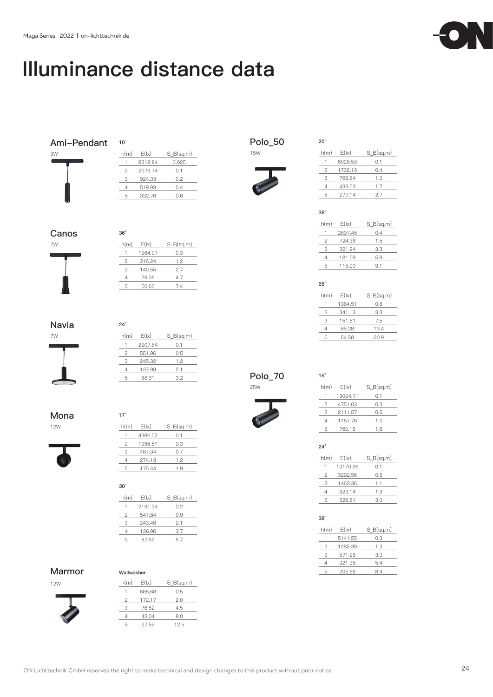## Illuminance distance data

| Ami-Pendant | $10^{\circ}$   |         |             |
|-------------|----------------|---------|-------------|
| 9W          | h(m)           | E( x)   | $S_B(sq.m)$ |
|             | $\mathbf{1}$   | 8318.94 | 0.025       |
|             | $\mathbf{2}$   | 2079.74 | 0.1         |
|             | 3              | 924.33  | 0.2         |
|             | $\overline{4}$ | 519.93  | 0.4         |
|             | 5              | 332.76  | 0.6         |
|             |                |         |             |
| Canos       | $36^\circ$     |         |             |
| 7W          | h(m)           | E( x)   | $S_B(sq.m)$ |
|             | 1              | 1264.97 | 0.3         |
|             | $\overline{c}$ | 316.24  | 1.2         |
|             | 3              | 140.55  | 2.7         |
|             | 4              | 79.06   | 4.7         |
|             | 5              | 50.60   | 7.4         |
| Navia       | $24^\circ$     |         |             |
| 7W          | h(m)           | E( x)   | $S_B(sq.m)$ |
|             | 1              | 2207.84 | 0.1         |
|             | $\mathbf{2}$   | 551.96  | 0.5         |
|             | 3              | 245.32  | 1.2         |
|             | $\sqrt{4}$     | 137.99  | 2.1         |
|             | 5              | 88.31   | 3.2         |
| Mona        | $17^\circ$     |         |             |
| <b>12W</b>  | h(m)           | E( x)   | $S_B(sq.m)$ |
|             | 1              | 4386.02 | 0.1         |
|             | $\overline{c}$ | 1096.51 | 0.3         |
|             | 3              | 487.34  | 0.7         |
|             | 4              | 274.13  | 1.2         |
|             | 5              | 175.44  | 1.9         |
|             | $30^{\circ}$   |         |             |
|             | h(m)           | E( x)   | $S_B(sq.m)$ |
|             | 1              | 2191.34 | 0.2         |
|             | $\sqrt{2}$     | 547.84  | 0.9         |
|             | 3              | 243.48  | 2.1         |
|             | $\sqrt{4}$     | 136.96  | 3.7         |
|             | 5              | 87.65   | 5.7         |

#### **Marmor Wallwasher**

12W



| h(m) | E( x)  | $S$ B(sq.m) |
|------|--------|-------------|
|      | 688.68 | 0.5         |
| 2    | 172.17 | 2.0         |
| 3    | 76.52  | 4.5         |
|      | 43.04  | 8.0         |
| 5    | 27.55  | 12.5        |
|      |        |             |

| Polo_50 | 20 <sup>°</sup> |
|---------|-----------------|
|         |                 |



| h(m) | E( x)   | $S_B(sq.m)$ |
|------|---------|-------------|
|      | 6928.53 | 0.1         |
| 2    | 1732.13 | 0.4         |
| 3    | 769.84  | 1.0         |
| 4    | 433.03  | 1.7         |
| 5    | 277.14  | 2.7         |
|      |         |             |

**38°**

| h(m) | E( x)   | $S$ B(sq.m) |
|------|---------|-------------|
|      | 2897.45 | 0.4         |
| 2    | 724.36  | 1.5         |
| З    | 321.94  | 3.3         |
| 4    | 181.09  | 5.8         |
| 5    | 115.90  | 9.1         |

#### **55°**

| h(m) | E( x)   | $S$ B(sq.m) |
|------|---------|-------------|
|      | 1364.51 | 0.8         |
| 2    | 341.13  | 3.3         |
| 3    | 151.61  | 7.5         |
| 4    | 85.28   | 13.4        |
| 5    | 54.58   | 20.9        |

**Polo\_70 15°**



 $1 19004.11 0.1$  4751.03 0.3 2111.57 0.6 1187.76 1.0 760.16 1.6 h(m)  $E(k)$  S\_B(sq.m)

**24°**

| h(m) | E( x)    | $S$ B(sq.m) |  |
|------|----------|-------------|--|
|      | 13170.26 | 0.1         |  |
| 2    | 3292.56  | 0.5         |  |
| З    | 1463.36  | 11          |  |
| Δ    | 823.14   | 1.9         |  |
| ц    | 526.81   | 3.0         |  |
|      |          |             |  |

#### **38°**

| h(m) | E( x)   | $S$ B(sq.m) |
|------|---------|-------------|
| 1    | 5141.55 | 0.3         |
| 2    | 1285.39 | 1.3         |
| З    | 571.28  | 3.0         |
| 4    | 321.35  | 5.4         |
| 5    | 205.66  | 8.4         |